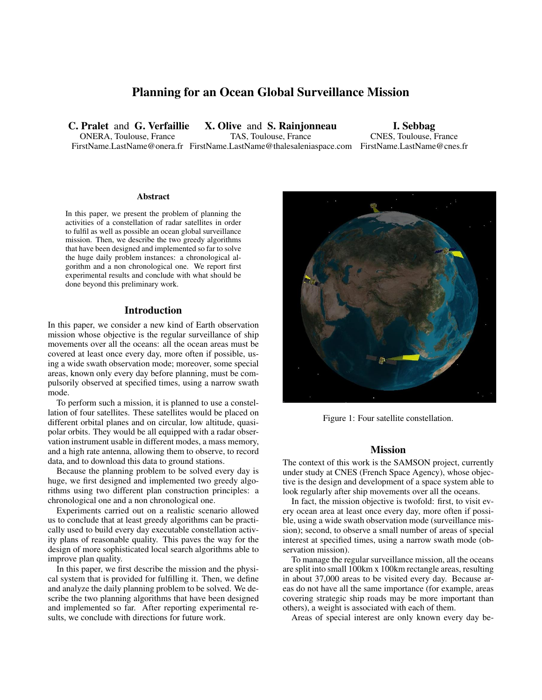# Planning for an Ocean Global Surveillance Mission

C. Pralet and G. Verfaillie ONERA, Toulouse, France

FirstName.LastName@onera.fr FirstName.LastName@thalesaleniaspace.com FirstName.LastName@cnes.fr X. Olive and S. Rainjonneau TAS, Toulouse, France

I. Sebbag CNES, Toulouse, France

#### Abstract

In this paper, we present the problem of planning the activities of a constellation of radar satellites in order to fulfil as well as possible an ocean global surveillance mission. Then, we describe the two greedy algorithms that have been designed and implemented so far to solve the huge daily problem instances: a chronological algorithm and a non chronological one. We report first experimental results and conclude with what should be done beyond this preliminary work.

### Introduction

In this paper, we consider a new kind of Earth observation mission whose objective is the regular surveillance of ship movements over all the oceans: all the ocean areas must be covered at least once every day, more often if possible, using a wide swath observation mode; moreover, some special areas, known only every day before planning, must be compulsorily observed at specified times, using a narrow swath mode.

To perform such a mission, it is planned to use a constellation of four satellites. These satellites would be placed on different orbital planes and on circular, low altitude, quasipolar orbits. They would be all equipped with a radar observation instrument usable in different modes, a mass memory, and a high rate antenna, allowing them to observe, to record data, and to download this data to ground stations.

Because the planning problem to be solved every day is huge, we first designed and implemented two greedy algorithms using two different plan construction principles: a chronological one and a non chronological one.

Experiments carried out on a realistic scenario allowed us to conclude that at least greedy algorithms can be practically used to build every day executable constellation activity plans of reasonable quality. This paves the way for the design of more sophisticated local search algorithms able to improve plan quality.

In this paper, we first describe the mission and the physical system that is provided for fulfilling it. Then, we define and analyze the daily planning problem to be solved. We describe the two planning algorithms that have been designed and implemented so far. After reporting experimental results, we conclude with directions for future work.



Figure 1: Four satellite constellation.

#### <span id="page-0-0"></span>Mission

The context of this work is the SAMSON project, currently under study at CNES (French Space Agency), whose objective is the design and development of a space system able to look regularly after ship movements over all the oceans.

In fact, the mission objective is twofold: first, to visit every ocean area at least once every day, more often if possible, using a wide swath observation mode (surveillance mission); second, to observe a small number of areas of special interest at specified times, using a narrow swath mode (observation mission).

To manage the regular surveillance mission, all the oceans are split into small 100km x 100km rectangle areas, resulting in about 37,000 areas to be visited every day. Because areas do not have all the same importance (for example, areas covering strategic ship roads may be more important than others), a weight is associated with each of them.

Areas of special interest are only known every day be-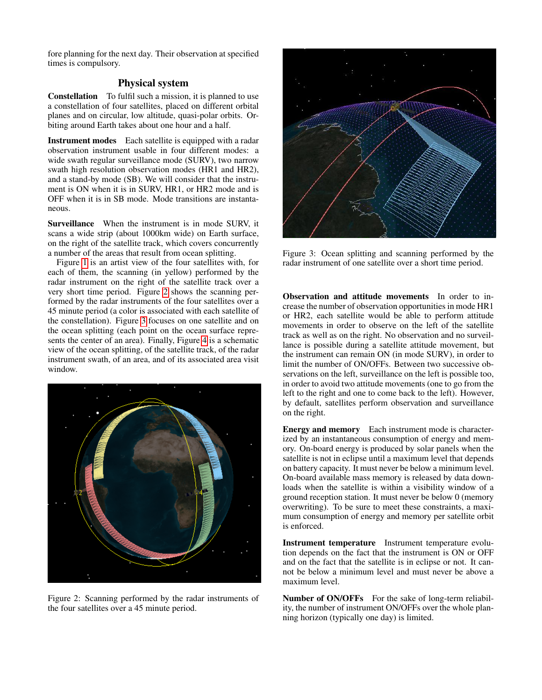fore planning for the next day. Their observation at specified times is compulsory.

## Physical system

Constellation To fulfil such a mission, it is planned to use a constellation of four satellites, placed on different orbital planes and on circular, low altitude, quasi-polar orbits. Orbiting around Earth takes about one hour and a half.

Instrument modes Each satellite is equipped with a radar observation instrument usable in four different modes: a wide swath regular surveillance mode (SURV), two narrow swath high resolution observation modes (HR1 and HR2), and a stand-by mode (SB). We will consider that the instrument is ON when it is in SURV, HR1, or HR2 mode and is OFF when it is in SB mode. Mode transitions are instantaneous.

Surveillance When the instrument is in mode SURV, it scans a wide strip (about 1000km wide) on Earth surface, on the right of the satellite track, which covers concurrently a number of the areas that result from ocean splitting.

Figure [1](#page-0-0) is an artist view of the four satellites with, for each of them, the scanning (in yellow) performed by the radar instrument on the right of the satellite track over a very short time period. Figure [2](#page-1-0) shows the scanning performed by the radar instruments of the four satellites over a 45 minute period (a color is associated with each satellite of the constellation). Figure [3](#page-1-1) focuses on one satellite and on the ocean splitting (each point on the ocean surface represents the center of an area). Finally, Figure [4](#page-2-0) is a schematic view of the ocean splitting, of the satellite track, of the radar instrument swath, of an area, and of its associated area visit window.



Figure 2: Scanning performed by the radar instruments of the four satellites over a 45 minute period.



Figure 3: Ocean splitting and scanning performed by the radar instrument of one satellite over a short time period.

<span id="page-1-1"></span>Observation and attitude movements In order to increase the number of observation opportunities in mode HR1 or HR2, each satellite would be able to perform attitude movements in order to observe on the left of the satellite track as well as on the right. No observation and no surveillance is possible during a satellite attitude movement, but the instrument can remain ON (in mode SURV), in order to limit the number of ON/OFFs. Between two successive observations on the left, surveillance on the left is possible too, in order to avoid two attitude movements (one to go from the left to the right and one to come back to the left). However, by default, satellites perform observation and surveillance on the right.

Energy and memory Each instrument mode is characterized by an instantaneous consumption of energy and memory. On-board energy is produced by solar panels when the satellite is not in eclipse until a maximum level that depends on battery capacity. It must never be below a minimum level. On-board available mass memory is released by data downloads when the satellite is within a visibility window of a ground reception station. It must never be below 0 (memory overwriting). To be sure to meet these constraints, a maximum consumption of energy and memory per satellite orbit is enforced.

Instrument temperature Instrument temperature evolution depends on the fact that the instrument is ON or OFF and on the fact that the satellite is in eclipse or not. It cannot be below a minimum level and must never be above a maximum level.

<span id="page-1-0"></span>Number of ON/OFFs For the sake of long-term reliability, the number of instrument ON/OFFs over the whole planning horizon (typically one day) is limited.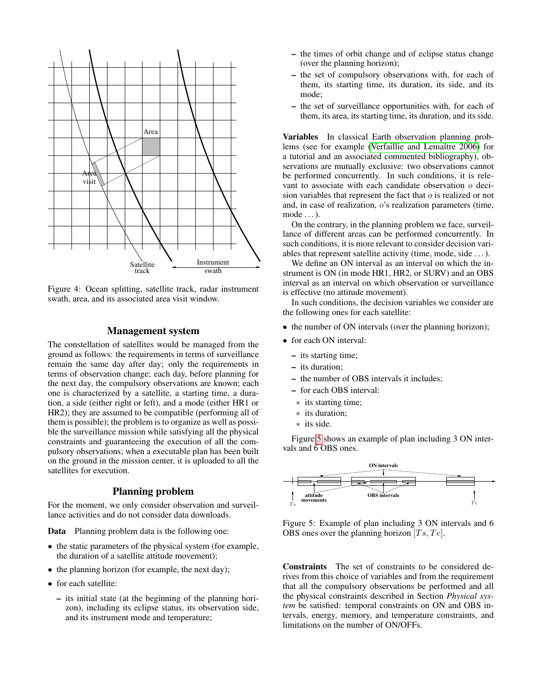

<span id="page-2-0"></span>Figure 4: Ocean splitting, satellite track, radar instrument swath, area, and its associated area visit window.

### Management system

The constellation of satellites would be managed from the ground as follows: the requirements in terms of surveillance remain the same day after day; only the requirements in terms of observation change; each day, before planning for the next day, the compulsory observations are known; each one is characterized by a satellite, a starting time, a duration, a side (either right or left), and a mode (either HR1 or HR2); they are assumed to be compatible (performing all of them is possible); the problem is to organize as well as possible the surveillance mission while satisfying all the physical constraints and guaranteeing the execution of all the compulsory observations; when a executable plan has been built on the ground in the mission center, it is uploaded to all the satellites for execution.

## Planning problem

For the moment, we only consider observation and surveillance activities and do not consider data downloads.

Data Planning problem data is the following one:

- the static parameters of the physical system (for example, the duration of a satellite attitude movement);
- the planning horizon (for example, the next day);
- for each satellite:
	- its initial state (at the beginning of the planning horizon), including its eclipse status, its observation side, and its instrument mode and temperature;
- the times of orbit change and of eclipse status change (over the planning horizon);
- the set of compulsory observations with, for each of them, its starting time, its duration, its side, and its mode;
- the set of surveillance opportunities with, for each of them, its area, its starting time, its duration, and its side.

Variables In classical Earth observation planning problems (see for example [\(Verfaillie and Lemaître 2006\)](#page-6-0) for a tutorial and an associated commented bibliography), observations are mutually exclusive: two observations cannot be performed concurrently. In such conditions, it is relevant to associate with each candidate observation o decision variables that represent the fact that  $o$  is realized or not and, in case of realization, o's realization parameters (time, mode . . . ).

On the contrary, in the planning problem we face, surveillance of different areas can be performed concurrently. In such conditions, it is more relevant to consider decision variables that represent satellite activity (time, mode, side . . . ).

We define an ON interval as an interval on which the instrument is ON (in mode HR1, HR2, or SURV) and an OBS interval as an interval on which observation or surveillance is effective (no attitude movement).

In such conditions, the decision variables we consider are the following ones for each satellite:

- the number of ON intervals (over the planning horizon);
- for each ON interval:
	- its starting time;
	- its duration;
	- the number of OBS intervals it includes;
	- for each OBS interval:
	- ∗ its starting time;
	- ∗ its duration;
	- ∗ its side.

Figure [5](#page-2-1) shows an example of plan including 3 ON intervals and 6 OBS ones.



<span id="page-2-1"></span>Figure 5: Example of plan including 3 ON intervals and 6 OBS ones over the planning horizon  $[T_s, Te]$ .

Constraints The set of constraints to be considered derives from this choice of variables and from the requirement that all the compulsory observations be performed and all the physical constraints described in Section *Physical system* be satisfied: temporal constraints on ON and OBS intervals, energy, memory, and temperature constraints, and limitations on the number of ON/OFFs.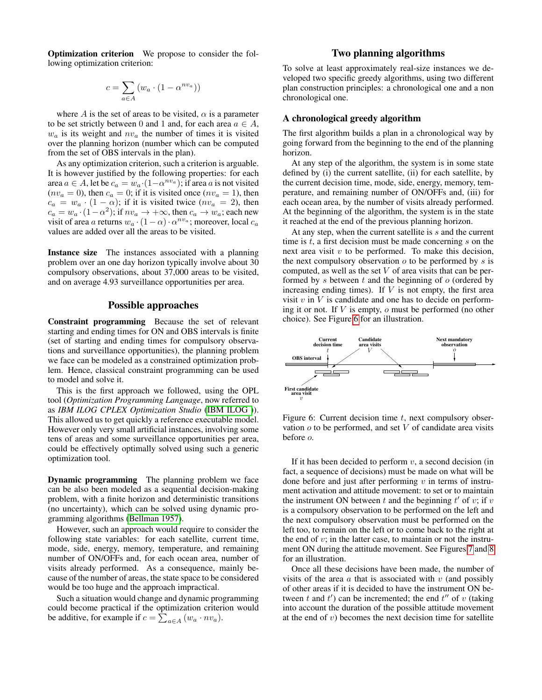Optimization criterion We propose to consider the following optimization criterion:

$$
c = \sum_{a \in A} \left( w_a \cdot (1 - \alpha^{n v_a}) \right)
$$

where A is the set of areas to be visited,  $\alpha$  is a parameter to be set strictly between 0 and 1 and, for each area  $a \in A$ ,  $w_a$  is its weight and  $nv_a$  the number of times it is visited over the planning horizon (number which can be computed from the set of OBS intervals in the plan).

As any optimization criterion, such a criterion is arguable. It is however justified by the following properties: for each area  $a \in A$ , let be  $c_a = w_a \cdot (1 - \alpha^{n v_a})$ ; if area a is not visited  $(nv_a = 0)$ , then  $c_a = 0$ ; if it is visited once  $(nv_a = 1)$ , then  $c_a = w_a \cdot (1 - \alpha)$ ; if it is visited twice  $(nv_a = 2)$ , then  $c_a = w_a \cdot (1 - \alpha^2)$ ; if  $n v_a \to +\infty$ , then  $c_a \to w_a$ ; each new visit of area a returns  $w_a \cdot (1 - \alpha) \cdot \alpha^{nv_a}$ ; moreover, local  $c_a$ values are added over all the areas to be visited.

Instance size The instances associated with a planning problem over an one day horizon typically involve about 30 compulsory observations, about 37,000 areas to be visited, and on average 4.93 surveillance opportunities per area.

## Possible approaches

Constraint programming Because the set of relevant starting and ending times for ON and OBS intervals is finite (set of starting and ending times for compulsory observations and surveillance opportunities), the planning problem we face can be modeled as a constrained optimization problem. Hence, classical constraint programming can be used to model and solve it.

This is the first approach we followed, using the OPL tool (*Optimization Programming Language*, now referred to as *IBM ILOG CPLEX Optimization Studio* [\(IBM ILOG \)](#page-5-0)). This allowed us to get quickly a reference executable model. However only very small artificial instances, involving some tens of areas and some surveillance opportunities per area, could be effectively optimally solved using such a generic optimization tool.

Dynamic programming The planning problem we face can be also been modeled as a sequential decision-making problem, with a finite horizon and deterministic transitions (no uncertainty), which can be solved using dynamic programming algorithms [\(Bellman 1957\)](#page-5-1).

However, such an approach would require to consider the following state variables: for each satellite, current time, mode, side, energy, memory, temperature, and remaining number of ON/OFFs and, for each ocean area, number of visits already performed. As a consequence, mainly because of the number of areas, the state space to be considered would be too huge and the approach impractical.

Such a situation would change and dynamic programming could become practical if the optimization criterion would be additive, for example if  $c = \sum_{a \in A} (w_a \cdot n v_a)$ .

## Two planning algorithms

To solve at least approximately real-size instances we developed two specific greedy algorithms, using two different plan construction principles: a chronological one and a non chronological one.

#### A chronological greedy algorithm

The first algorithm builds a plan in a chronological way by going forward from the beginning to the end of the planning horizon.

At any step of the algorithm, the system is in some state defined by (i) the current satellite, (ii) for each satellite, by the current decision time, mode, side, energy, memory, temperature, and remaining number of ON/OFFs and, (iii) for each ocean area, by the number of visits already performed. At the beginning of the algorithm, the system is in the state it reached at the end of the previous planning horizon.

At any step, when the current satellite is  $s$  and the current time is  $t$ , a first decision must be made concerning  $s$  on the next area visit  $v$  to be performed. To make this decision, the next compulsory observation  $o$  to be performed by  $s$  is computed, as well as the set  $V$  of area visits that can be performed by s between  $t$  and the beginning of  $o$  (ordered by increasing ending times). If  $V$  is not empty, the first area visit  $v$  in  $V$  is candidate and one has to decide on performing it or not. If V is empty, o must be performed (no other choice). See Figure [6](#page-3-0) for an illustration.



<span id="page-3-0"></span>Figure 6: Current decision time  $t$ , next compulsory observation  $o$  to be performed, and set  $V$  of candidate area visits before o.

If it has been decided to perform  $v$ , a second decision (in fact, a sequence of decisions) must be made on what will be done before and just after performing  $v$  in terms of instrument activation and attitude movement: to set or to maintain the instrument ON between  $t$  and the beginning  $t'$  of  $v$ ; if  $v$ is a compulsory observation to be performed on the left and the next compulsory observation must be performed on the left too, to remain on the left or to come back to the right at the end of  $v$ ; in the latter case, to maintain or not the instrument ON during the attitude movement. See Figures [7](#page-4-0) and [8](#page-4-1) for an illustration.

Once all these decisions have been made, the number of visits of the area  $\alpha$  that is associated with  $\upsilon$  (and possibly of other areas if it is decided to have the instrument ON between t and  $t'$ ) can be incremented; the end  $t''$  of v (taking into account the duration of the possible attitude movement at the end of  $v$ ) becomes the next decision time for satellite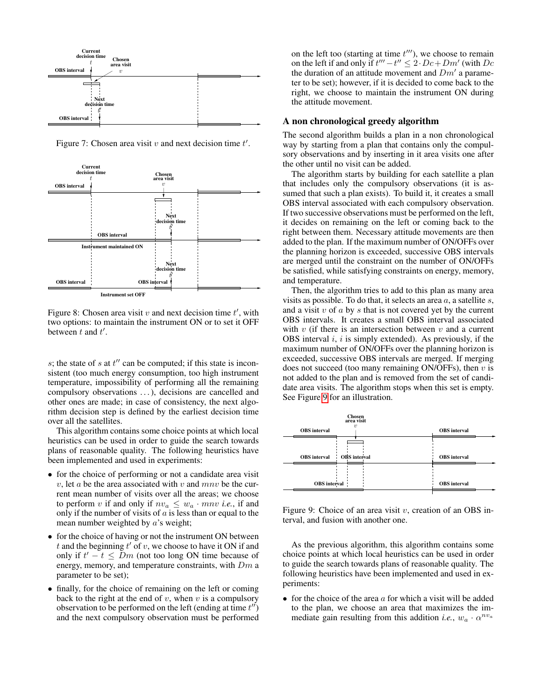

<span id="page-4-0"></span>Figure 7: Chosen area visit  $v$  and next decision time  $t'$ .



<span id="page-4-1"></span>Figure 8: Chosen area visit  $v$  and next decision time  $t'$ , with two options: to maintain the instrument ON or to set it OFF between  $t$  and  $t'$ .

 $s$ ; the state of  $s$  at  $t''$  can be computed; if this state is inconsistent (too much energy consumption, too high instrument temperature, impossibility of performing all the remaining compulsory observations . . . ), decisions are cancelled and other ones are made; in case of consistency, the next algorithm decision step is defined by the earliest decision time over all the satellites.

This algorithm contains some choice points at which local heuristics can be used in order to guide the search towards plans of reasonable quality. The following heuristics have been implemented and used in experiments:

- for the choice of performing or not a candidate area visit v, let a be the area associated with v and  $mnv$  be the current mean number of visits over all the areas; we choose to perform v if and only if  $nv_a \leq w_a \cdot mnv$  *i.e.*, if and only if the number of visits of  $\alpha$  is less than or equal to the mean number weighted by a's weight;
- for the choice of having or not the instrument ON between t and the beginning  $t'$  of v, we choose to have it ON if and only if  $t'-t \leq Dm$  (not too long ON time because of energy, memory, and temperature constraints, with  $Dm$  a parameter to be set);
- finally, for the choice of remaining on the left or coming back to the right at the end of  $v$ , when  $v$  is a compulsory observation to be performed on the left (ending at time  $t''$ ) and the next compulsory observation must be performed

on the left too (starting at time  $t'''$ ), we choose to remain on the left if and only if  $t''' - t'' \leq 2 \cdot Dc + Dm'$  (with  $Dc$ the duration of an attitude movement and  $Dm'$  a parameter to be set); however, if it is decided to come back to the right, we choose to maintain the instrument ON during the attitude movement.

## A non chronological greedy algorithm

The second algorithm builds a plan in a non chronological way by starting from a plan that contains only the compulsory observations and by inserting in it area visits one after the other until no visit can be added.

The algorithm starts by building for each satellite a plan that includes only the compulsory observations (it is assumed that such a plan exists). To build it, it creates a small OBS interval associated with each compulsory observation. If two successive observations must be performed on the left, it decides on remaining on the left or coming back to the right between them. Necessary attitude movements are then added to the plan. If the maximum number of ON/OFFs over the planning horizon is exceeded, successive OBS intervals are merged until the constraint on the number of ON/OFFs be satisfied, while satisfying constraints on energy, memory, and temperature.

Then, the algorithm tries to add to this plan as many area visits as possible. To do that, it selects an area  $a$ , a satellite  $s$ , and a visit  $v$  of  $a$  by  $s$  that is not covered yet by the current OBS intervals. It creates a small OBS interval associated with  $v$  (if there is an intersection between  $v$  and a current OBS interval  $i$ ,  $i$  is simply extended). As previously, if the maximum number of ON/OFFs over the planning horizon is exceeded, successive OBS intervals are merged. If merging does not succeed (too many remaining ON/OFFs), then  $v$  is not added to the plan and is removed from the set of candidate area visits. The algorithm stops when this set is empty. See Figure [9](#page-4-2) for an illustration.



<span id="page-4-2"></span>Figure 9: Choice of an area visit  $v$ , creation of an OBS interval, and fusion with another one.

As the previous algorithm, this algorithm contains some choice points at which local heuristics can be used in order to guide the search towards plans of reasonable quality. The following heuristics have been implemented and used in experiments:

• for the choice of the area  $a$  for which a visit will be added to the plan, we choose an area that maximizes the immediate gain resulting from this addition *i.e.*,  $w_a \cdot \alpha^{nv_a}$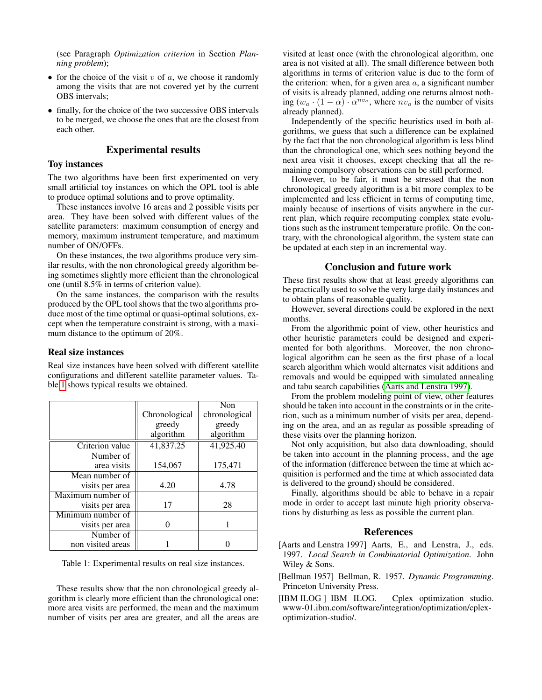(see Paragraph *Optimization criterion* in Section *Planning problem*);

- for the choice of the visit  $v$  of  $a$ , we choose it randomly among the visits that are not covered yet by the current OBS intervals;
- finally, for the choice of the two successive OBS intervals to be merged, we choose the ones that are the closest from each other.

## Experimental results

### Toy instances

The two algorithms have been first experimented on very small artificial toy instances on which the OPL tool is able to produce optimal solutions and to prove optimality.

These instances involve 16 areas and 2 possible visits per area. They have been solved with different values of the satellite parameters: maximum consumption of energy and memory, maximum instrument temperature, and maximum number of ON/OFFs.

On these instances, the two algorithms produce very similar results, with the non chronological greedy algorithm being sometimes slightly more efficient than the chronological one (until 8.5% in terms of criterion value).

On the same instances, the comparison with the results produced by the OPL tool shows that the two algorithms produce most of the time optimal or quasi-optimal solutions, except when the temperature constraint is strong, with a maximum distance to the optimum of 20%.

#### Real size instances

Real size instances have been solved with different satellite configurations and different satellite parameter values. Table [1](#page-5-2) shows typical results we obtained.

|                   |               | Non           |
|-------------------|---------------|---------------|
|                   | Chronological | chronological |
|                   | greedy        | greedy        |
|                   | algorithm     | algorithm     |
| Criterion value   | 41,837.25     | 41,925.40     |
| Number of         |               |               |
| area visits       | 154,067       | 175,471       |
| Mean number of    |               |               |
| visits per area   | 4.20          | 4.78          |
| Maximum number of |               |               |
| visits per area   | 17            | 28            |
| Minimum number of |               |               |
| visits per area   |               |               |
| Number of         |               |               |
| non visited areas |               |               |

<span id="page-5-2"></span>Table 1: Experimental results on real size instances.

These results show that the non chronological greedy algorithm is clearly more efficient than the chronological one: more area visits are performed, the mean and the maximum number of visits per area are greater, and all the areas are

visited at least once (with the chronological algorithm, one area is not visited at all). The small difference between both algorithms in terms of criterion value is due to the form of the criterion: when, for a given area  $a$ , a significant number of visits is already planned, adding one returns almost nothing  $(w_a \cdot (1 - \alpha) \cdot \alpha^{nv_a})$ , where  $nv_a$  is the number of visits already planned).

Independently of the specific heuristics used in both algorithms, we guess that such a difference can be explained by the fact that the non chronological algorithm is less blind than the chronological one, which sees nothing beyond the next area visit it chooses, except checking that all the remaining compulsory observations can be still performed.

However, to be fair, it must be stressed that the non chronological greedy algorithm is a bit more complex to be implemented and less efficient in terms of computing time, mainly because of insertions of visits anywhere in the current plan, which require recomputing complex state evolutions such as the instrument temperature profile. On the contrary, with the chronological algorithm, the system state can be updated at each step in an incremental way.

## Conclusion and future work

These first results show that at least greedy algorithms can be practically used to solve the very large daily instances and to obtain plans of reasonable quality.

However, several directions could be explored in the next months.

From the algorithmic point of view, other heuristics and other heuristic parameters could be designed and experimented for both algorithms. Moreover, the non chronological algorithm can be seen as the first phase of a local search algorithm which would alternates visit additions and removals and would be equipped with simulated annealing and tabu search capabilities [\(Aarts and Lenstra 1997\)](#page-5-3).

From the problem modeling point of view, other features should be taken into account in the constraints or in the criterion, such as a minimum number of visits per area, depending on the area, and an as regular as possible spreading of these visits over the planning horizon.

Not only acquisition, but also data downloading, should be taken into account in the planning process, and the age of the information (difference between the time at which acquisition is performed and the time at which associated data is delivered to the ground) should be considered.

Finally, algorithms should be able to behave in a repair mode in order to accept last minute high priority observations by disturbing as less as possible the current plan.

### References

- <span id="page-5-3"></span>[Aarts and Lenstra 1997] Aarts, E., and Lenstra, J., eds. 1997. *Local Search in Combinatorial Optimization*. John Wiley & Sons.
- <span id="page-5-1"></span>[Bellman 1957] Bellman, R. 1957. *Dynamic Programming*. Princeton University Press.
- <span id="page-5-0"></span>[IBM ILOG] IBM ILOG. Cplex optimization studio. www-01.ibm.com/software/integration/optimization/cplexoptimization-studio/.